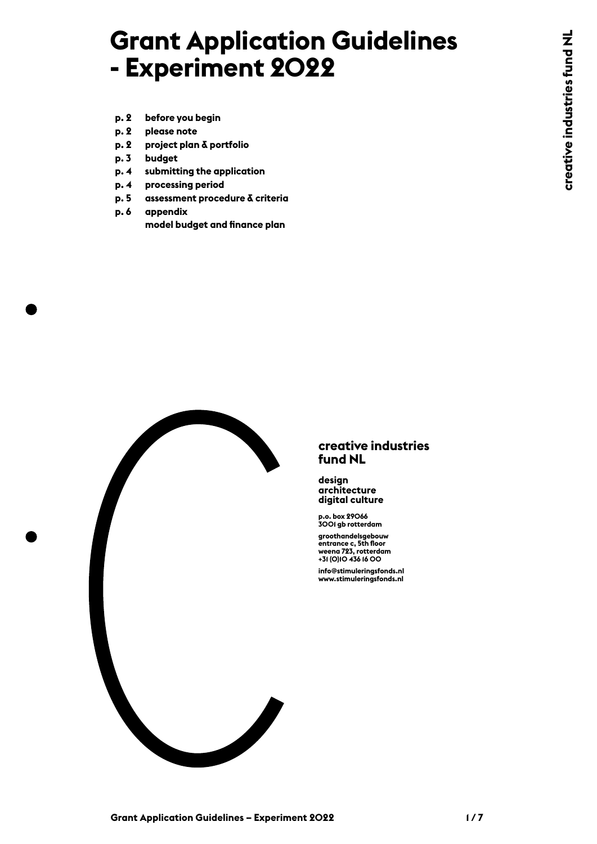# **Grant Application Guidelines - Experiment 2022**

- **p. 2 before you begin**
- **p. 2 please note**
- **p. 2 project plan & portfolio**
- **p. 3 budget**
- **p. 4 submitting the application**
- **p. 4 processing [p](#page-4-0)eriod**
- **p. 5 assessmen[t](#page-5-0) procedure & criteria**
- **p. 6 appendix** 
	- **[model budget and finance plan](#page-5-0)**



#### **creative industries fund NL**

**design architecture digital culture**

**p.o. box 29066 3001 gb rotterdam**

**groothandelsgebouw entrance c, 5th floor weena 723, rotterdam +31 (0)10 436 16 00 info@stimuleringsfonds.nl www.stimuleringsfonds.nl**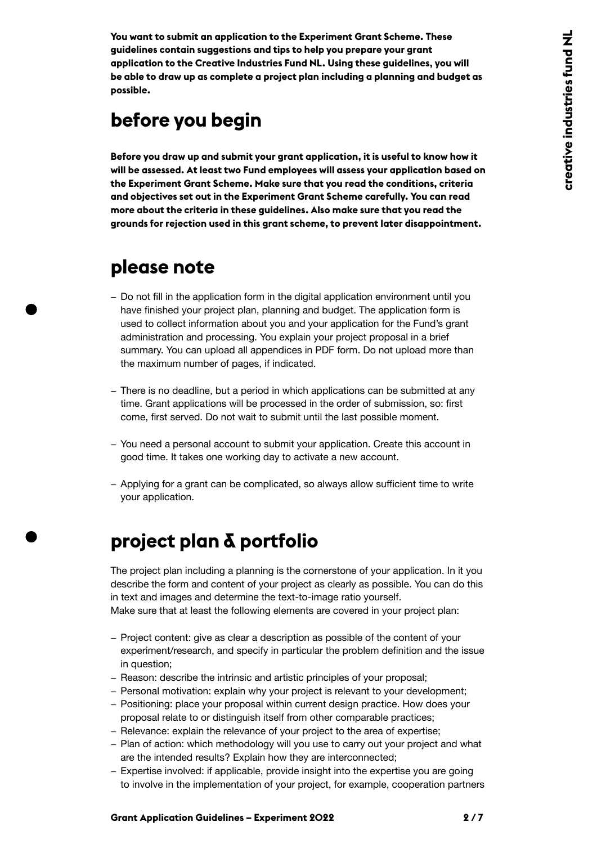**You want to submit an application to the Experiment Grant Scheme. These guidelines contain suggestions and tips to help you prepare your grant application to the Creative Industries Fund NL. Using these guidelines, you will be able to draw up as complete a project plan including a planning and budget as possible.**

# **before you begin**

**Before you draw up and submit your grant application, it is useful to know how it will be assessed. At least two Fund employees will assess your application based on the Experiment Grant Scheme. Make sure that you read the conditions, criteria and objectives set out in the Experiment Grant Scheme carefully. You can read more about the criteria in these guidelines. Also make sure that you read the grounds for rejection used in this grant scheme, to prevent later disappointment[.](https://content.stimuleringsfonds.nl/files/gra/i_003/deelregelingmeerjarigeprogrammas20182020.pdf/)**

### **please note**

- − Do not fill in the application form in the digital application environment until you have finished your project plan, planning and budget. The application form is used to collect information about you and your application for the Fund's grant administration and processing. You explain your project proposal in a brief summary. You can upload all appendices in PDF form. Do not upload more than the maximum number of pages, if indicated.
- − There is no deadline, but a period in which applications can be submitted at any time. Grant applications will be processed in the order of submission, so: first come, first served. Do not wait to submit until the last possible moment.
- − You need a personal account to submit your application. Create this account in good time. It takes one working day to activate a new account.
- − Applying for a grant can be complicated, so always allow sufficient time to write your application.

# **project plan & portfolio**

The project plan including a planning is the cornerstone of your application. In it you describe the form and content of your project as clearly as possible. You can do this in text and images and determine the text-to-image ratio yourself.

Make sure that at least the following elements are covered in your project plan:

- − Project content: give as clear a description as possible of the content of your experiment/research, and specify in particular the problem definition and the issue in question;
- − Reason: describe the intrinsic and artistic principles of your proposal;
- − Personal motivation: explain why your project is relevant to your development;
- − Positioning: place your proposal within current design practice. How does your proposal relate to or distinguish itself from other comparable practices;
- − Relevance: explain the relevance of your project to the area of expertise;
- − Plan of action: which methodology will you use to carry out your project and what are the intended results? Explain how they are interconnected;
- − Expertise involved: if applicable, provide insight into the expertise you are going to involve in the implementation of your project, for example, cooperation partners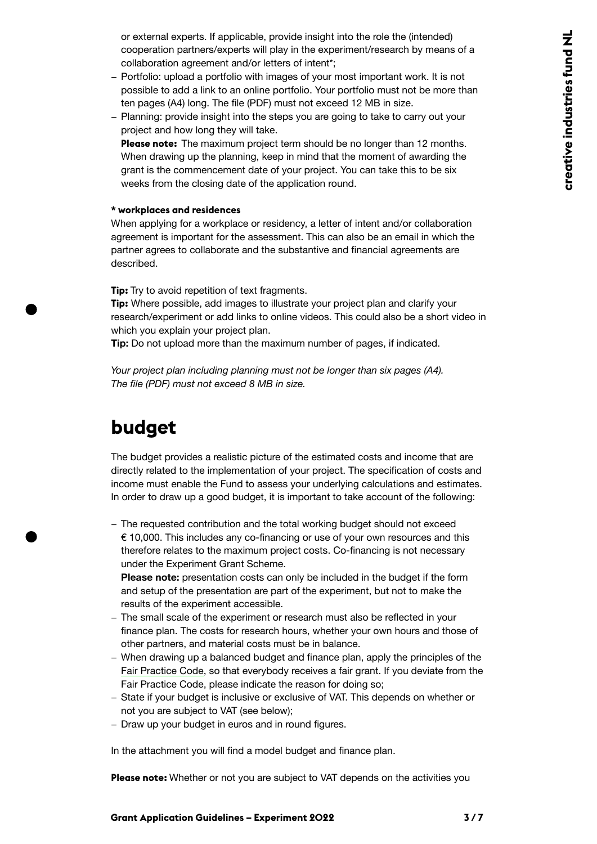or external experts. If applicable, provide insight into the role the (intended) cooperation partners/experts will play in the experiment/research by means of a collaboration agreement and/or letters of intent\*;

- − Portfolio: upload a portfolio with images of your most important work. It is not possible to add a link to an online portfolio. Your portfolio must not be more than ten pages (A4) long. The file (PDF) must not exceed 12 MB in size.
- − Planning: provide insight into the steps you are going to take to carry out your project and how long they will take.

**Please note:** The maximum project term should be no longer than 12 months. When drawing up the planning, keep in mind that the moment of awarding the grant is the commencement date of your project. You can take this to be six weeks from the closing date of the application round.

#### **\* workplaces and residences**

When applying for a workplace or residency, a letter of intent and/or collaboration agreement is important for the assessment. This can also be an email in which the partner agrees to collaborate and the substantive and financial agreements are described.

**Tip:** Try to avoid repetition of text fragments.

**Tip:** Where possible, add images to illustrate your project plan and clarify your research/experiment or add links to online videos. This could also be a short video in which you explain your project plan.

**Tip:** Do not upload more than the maximum number of pages, if indicated.

*Your project plan including planning must not be longer than six pages (A4). The file (PDF) must not exceed 8 MB in size.*

### **budget**

The budget provides a realistic picture of the estimated costs and income that are directly related to the implementation of your project. The specification of costs and income must enable the Fund to assess your underlying calculations and estimates. In order to draw up a good budget, it is important to take account of the following:

− The requested contribution and the total working budget should not exceed € 10,000. This includes any co-financing or use of your own resources and this therefore relates to the maximum project costs. Co-financing is not necessary under the Experiment Grant Scheme.

**Please note:** presentation costs can only be included in the budget if the form and setup of the presentation are part of the experiment, but not to make the results of the experiment accessible.

- − The small scale of the experiment or research must also be reflected in your finance plan. The costs for research hours, whether your own hours and those of other partners, and material costs must be in balance.
- − When drawing up a balanced budget and finance plan, apply the principles of the [Fair Practice Code](https://www.fairpracticecode.nl/nl/quickscan/ik-ben-opdrachtgever), so that everybody receives a fair grant. If you deviate from the Fair Practice Code, please indicate the reason for doing so;
- − State if your budget is inclusive or exclusive of VAT. This depends on whether or not you are subject to VAT (see below);
- − Draw up your budget in euros and in round figures.

In the attachment you will find a model budget and finance plan.

**Please note:** Whether or not you are subject to VAT depends on the activities you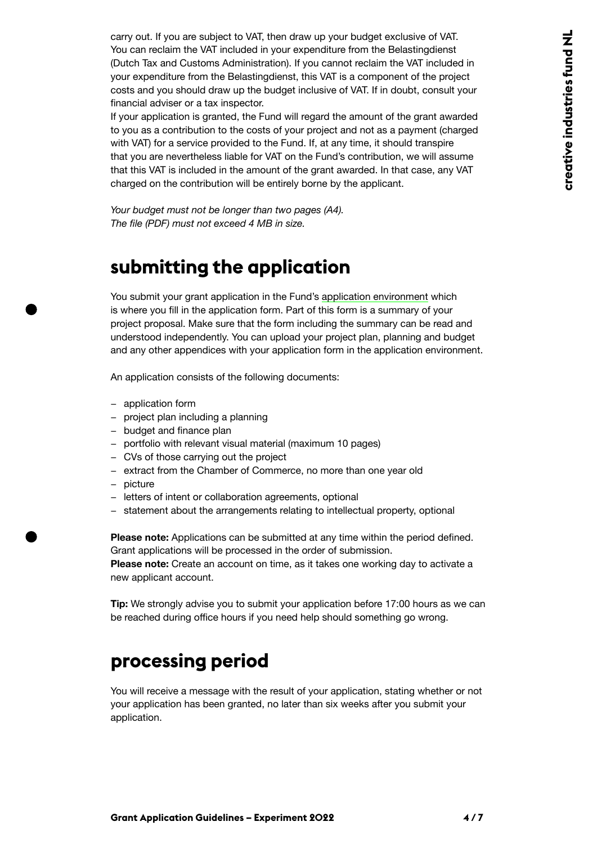carry out. If you are subject to VAT, then draw up your budget exclusive of VAT. You can reclaim the VAT included in your expenditure from the Belastingdienst (Dutch Tax and Customs Administration). If you cannot reclaim the VAT included in your expenditure from the Belastingdienst, this VAT is a component of the project costs and you should draw up the budget inclusive of VAT. If in doubt, consult your financial adviser or a tax inspector.

If your application is granted, the Fund will regard the amount of the grant awarded to you as a contribution to the costs of your project and not as a payment (charged with VAT) for a service provided to the Fund. If, at any time, it should transpire that you are nevertheless liable for VAT on the Fund's contribution, we will assume that this VAT is included in the amount of the grant awarded. In that case, any VAT charged on the contribution will be entirely borne by the applicant.

*Your budget must not be longer than two pages (A4). The file (PDF) must not exceed 4 MB in size.*

### **submitting the application**

You submit your grant application in the Fund's [application environment](https://aanvragen.stimuleringsfonds.nl/) which is where you fill in the application form. Part of this form is a summary of your project proposal. Make sure that the form including the summary can be read and understood independently. You can upload your project plan, planning and budget and any other appendices with your application form in the application environment.

An application consists of the following documents:

- − application form
- − project plan including a planning
- − budget and finance plan
- − portfolio with relevant visual material (maximum 10 pages)
- − CVs of those carrying out the project
- − extract from the Chamber of Commerce, no more than one year old
- − picture
- − letters of intent or collaboration agreements, optional
- − statement about the arrangements relating to intellectual property, optional

**Please note:** Applications can be submitted at any time within the period defined. Grant applications will be processed in the order of submission.

**Please note:** Create an account on time, as it takes one working day to activate a new applicant account.

**Tip:** We strongly advise you to submit your application before 17:00 hours as we can be reached during office hours if you need help should something go wrong.

#### **processing period**

You will receive a message with the result of your application, stating whether or not your application has been granted, no later than six weeks after you submit your application.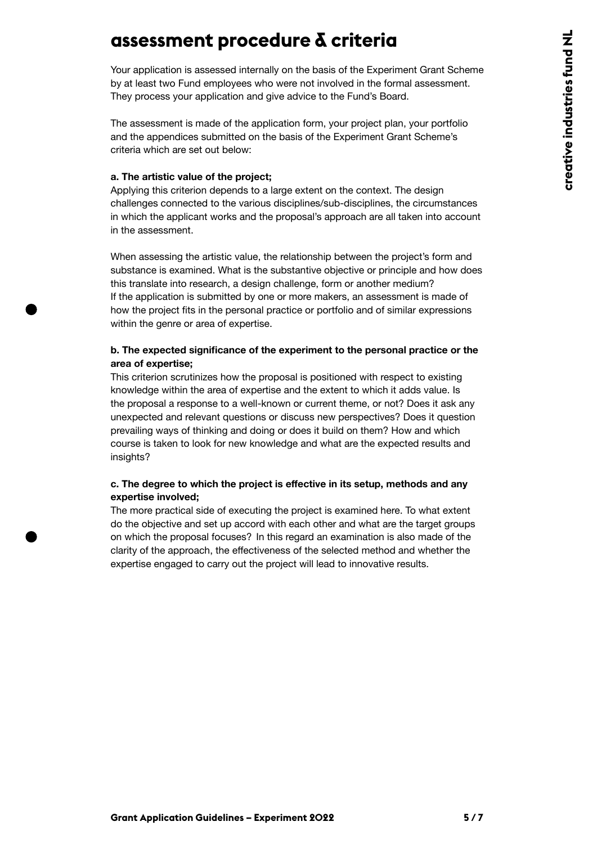### <span id="page-4-0"></span>**assessment procedure & criteria**

Your application is assessed internally on the basis of the Experiment Grant Scheme by at least two Fund employees who were not involved in the formal assessment. They process your application and give advice to the Fund's Board.

The assessment is made of the application form, your project plan, your portfolio and the appendices submitted on the basis of the Experiment Grant Scheme's criteria which are set out below:

#### **a. The artistic value of the project;**

Applying this criterion depends to a large extent on the context. The design challenges connected to the various disciplines/sub-disciplines, the circumstances in which the applicant works and the proposal's approach are all taken into account in the assessment.

When assessing the artistic value, the relationship between the project's form and substance is examined. What is the substantive objective or principle and how does this translate into research, a design challenge, form or another medium? If the application is submitted by one or more makers, an assessment is made of how the project fits in the personal practice or portfolio and of similar expressions within the genre or area of expertise.

#### **b. The expected significance of the experiment to the personal practice or the area of expertise;**

This criterion scrutinizes how the proposal is positioned with respect to existing knowledge within the area of expertise and the extent to which it adds value. Is the proposal a response to a well-known or current theme, or not? Does it ask any unexpected and relevant questions or discuss new perspectives? Does it question prevailing ways of thinking and doing or does it build on them? How and which course is taken to look for new knowledge and what are the expected results and insights?

#### **c. The degree to which the project is effective in its setup, methods and any expertise involved;**

The more practical side of executing the project is examined here. To what extent do the objective and set up accord with each other and what are the target groups on which the proposal focuses? In this regard an examination is also made of the clarity of the approach, the effectiveness of the selected method and whether the expertise engaged to carry out the project will lead to innovative results.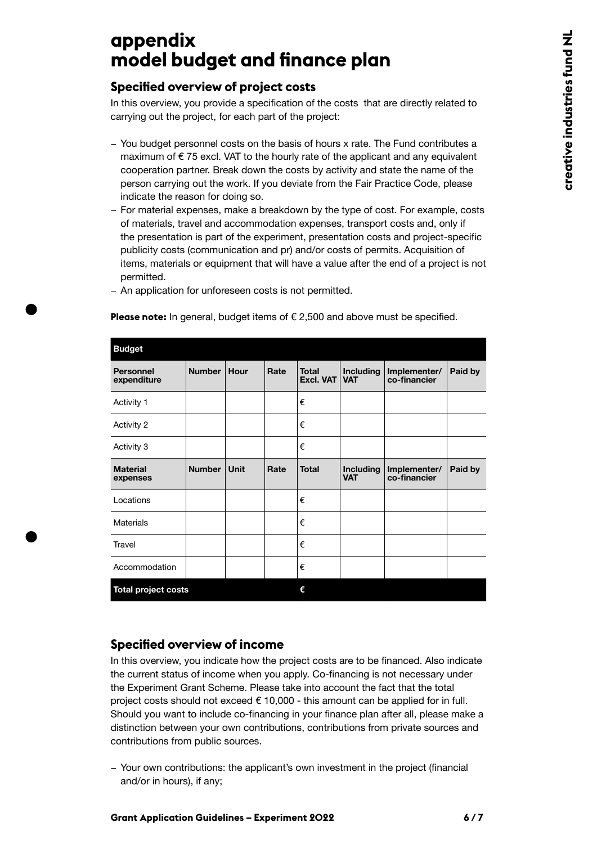# <span id="page-5-0"></span>**appendix model budget and finance plan**

#### **Specified overview of project costs**

In this overview, you provide a specification of the costs that are directly related to carrying out the project, for each part of the project:

- − You budget personnel costs on the basis of hours x rate. The Fund contributes a maximum of  $\epsilon$  75 excl. VAT to the hourly rate of the applicant and any equivalent cooperation partner. Break down the costs by activity and state the name of the person carrying out the work. If you deviate from the Fair Practice Code, please indicate the reason for doing so.
- − For material expenses, make a breakdown by the type of cost. For example, costs of materials, travel and accommodation expenses, transport costs and, only if the presentation is part of the experiment, presentation costs and project-specific publicity costs (communication and pr) and/or costs of permits. Acquisition of items, materials or equipment that will have a value after the end of a project is not permitted.

| <b>Budget</b>                   |               |             |      |                                  |                                |                              |         |  |
|---------------------------------|---------------|-------------|------|----------------------------------|--------------------------------|------------------------------|---------|--|
| <b>Personnel</b><br>expenditure | <b>Number</b> | <b>Hour</b> | Rate | <b>Total</b><br><b>Excl. VAT</b> | <b>Including</b><br><b>VAT</b> | Implementer/<br>co-financier | Paid by |  |
| Activity 1                      |               |             |      | €                                |                                |                              |         |  |
| Activity 2                      |               |             |      | €                                |                                |                              |         |  |
| Activity 3                      |               |             |      | €                                |                                |                              |         |  |
| <b>Material</b><br>expenses     | <b>Number</b> | <b>Unit</b> | Rate | <b>Total</b>                     | <b>Including</b><br><b>VAT</b> | Implementer/<br>co-financier | Paid by |  |
| Locations                       |               |             |      | €                                |                                |                              |         |  |
| <b>Materials</b>                |               |             |      | €                                |                                |                              |         |  |
| Travel                          |               |             |      | €                                |                                |                              |         |  |
| Accommodation                   |               |             |      | €                                |                                |                              |         |  |
| <b>Total project costs</b>      |               |             | €    |                                  |                                |                              |         |  |

**Please note:** In general, budget items of € 2,500 and above must be specified.

− An application for unforeseen costs is not permitted.

#### **Specified overview of income**

In this overview, you indicate how the project costs are to be financed. Also indicate the current status of income when you apply. Co-financing is not necessary under the Experiment Grant Scheme. Please take into account the fact that the total project costs should not exceed  $\epsilon$  10,000 - this amount can be applied for in full. Should you want to include co-financing in your finance plan after all, please make a distinction between your own contributions, contributions from private sources and contributions from public sources.

− Your own contributions: the applicant's own investment in the project (financial and/or in hours), if any;